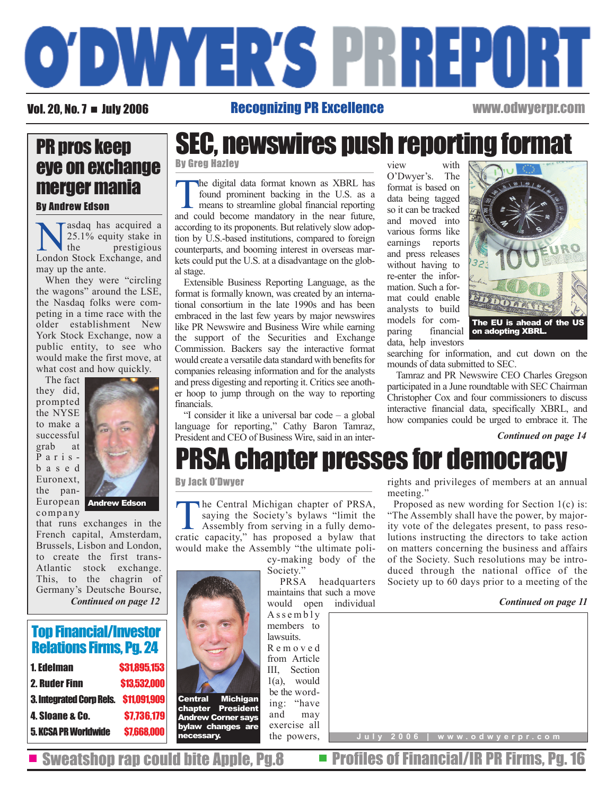

### Vol. 20, No. 7 = July 2006 Recognizing PR Excellence www.odwyerpr.com

## PR pros keep eye on exchange merger mania By Andrew Edson

asdaq has acquired a<br>25.1% equity stake in<br>the prestigious 25.1% equity stake in prestigious London Stock Exchange, and may up the ante.

When they were "circling the wagons" around the LSE, the Nasdaq folks were competing in a time race with the older establishment New York Stock Exchange, now a public entity, to see who would make the first move, at what cost and how quickly.

The fact they did, prompted the NYSE to make a successful grab at Parisbased Euronext, the pancompany



that runs exchanges in the French capital, Amsterdam, Brussels, Lisbon and London, to create the first trans-Atlantic stock exchange. This, to the chagrin of Germany's Deutsche Bourse, *Continued on page 12*

## Top Financial/Investor Relations Firms, Pg. 24

| 1. Edelman                                   | <b>S31.895.153</b> |
|----------------------------------------------|--------------------|
| 2. Ruder Finn                                | \$13,532,000       |
| <b>3. Integrated Corp Rels. \$11,091,909</b> |                    |
| 4. Sioane & Co.                              | \$7,736,179        |
| 5. KCSA PR Worldwide                         | \$7,668,000        |



By Greg Hazley

tion by U.S.-based institutions, compared to foreign counterparts, and booming interest in overseas markets could put the U.S. at a disadvantage on the global stage. Extensible Business Reporting Language, as the format is formally known, was created by an international consortium in the late 1990s and has been

The digital data format known as XBRL has<br>found prominent backing in the U.S. as a<br>means to streamline global financial reporting<br>and could become mandatory in the near future found prominent backing in the U.S. as a means to streamline global financial reporting and could become mandatory in the near future, according to its proponents. But relatively slow adop-

embraced in the last few years by major newswires like PR Newswire and Business Wire while earning the support of the Securities and Exchange Commission. Backers say the interactive format would create a versatile data standard with benefits for companies releasing information and for the analysts and press digesting and reporting it. Critics see another hoop to jump through on the way to reporting financials.

"I consider it like a universal bar code – a global language for reporting," Cathy Baron Tamraz, President and CEO of Business Wire, said in an inter-

view with<br>O'Dwyer's. The O'Dwyer's. format is based on data being tagged so it can be tracked and moved into various forms like earnings reports and press releases without having to re-enter the information. Such a format could enable analysts to build models for comparing financial on adopting XBRL. data, help investors



searching for information, and cut down on the mounds of data submitted to SEC.

Tamraz and PR Newswire CEO Charles Gregson participated in a June roundtable with SEC Chairman Christopher Cox and four commissioners to discuss interactive financial data, specifically XBRL, and how companies could be urged to embrace it. The

#### *Continued on page 14*

# PRSA chapter presses for democracy

#### By Jack O'Dwyer

The Central Michigan chapter of PRSA,<br>saying the Society's bylaws "limit the<br>Assembly from serving in a fully demo-<br>cratic consitue" has proposed a bylaw the saying the Society's bylaws "limit the Assembly from serving in a fully democratic capacity," has proposed a bylaw that would make the Assembly "the ultimate poli-

> cy-making body of the Society."

> PRSA headquarters maintains that such a move would open individual

Assembly members to lawsuits. Removed from Article III, Section 1(a), would be the wording: "have and may exercise all the powers, rights and privileges of members at an annual meeting.'

Proposed as new wording for Section 1(c) is: "The Assembly shall have the power, by majority vote of the delegates present, to pass resolutions instructing the directors to take action on matters concerning the business and affairs of the Society. Such resolutions may be introduced through the national office of the Society up to 60 days prior to a meeting of the

#### *Continued on page 11*



Sweatshop rap could bite Apple, Pg.8  $\blacksquare$  Profiles of Financial/IR PR Firms, Pg. 16